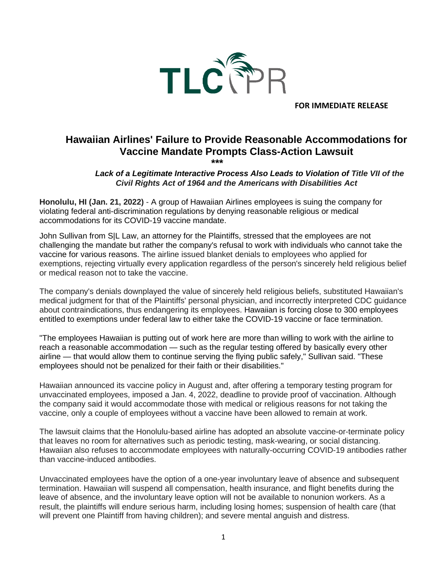

**FOR IMMEDIATE RELEASE**

## **Hawaiian Airlines' Failure to Provide Reasonable Accommodations for Vaccine Mandate Prompts Class-Action Lawsuit**

## **\*\*\*** *Lack of a Legitimate Interactive Process Also Leads to Violation of Title VII of the Civil Rights Act of 1964 and the Americans with Disabilities Act*

**Honolulu, HI (Jan. 21, 2022)** - A group of Hawaiian Airlines employees is suing the company for violating federal anti-discrimination regulations by denying reasonable religious or medical accommodations for its COVID-19 vaccine mandate.

John Sullivan from S|L Law, an attorney for the Plaintiffs, stressed that the employees are not challenging the mandate but rather the company's refusal to work with individuals who cannot take the vaccine for various reasons. The airline issued blanket denials to employees who applied for exemptions, rejecting virtually every application regardless of the person's sincerely held religious belief or medical reason not to take the vaccine.

The company's denials downplayed the value of sincerely held religious beliefs, substituted Hawaiian's medical judgment for that of the Plaintiffs' personal physician, and incorrectly interpreted CDC guidance about contraindications, thus endangering its employees. Hawaiian is forcing close to 300 employees entitled to exemptions under federal law to either take the COVID-19 vaccine or face termination.

"The employees Hawaiian is putting out of work here are more than willing to work with the airline to reach a reasonable accommodation — such as the regular testing offered by basically every other airline — that would allow them to continue serving the flying public safely," Sullivan said. "These employees should not be penalized for their faith or their disabilities."

Hawaiian announced its vaccine policy in August and, after offering a temporary testing program for unvaccinated employees, imposed a Jan. 4, 2022, deadline to provide proof of vaccination. Although the company said it would accommodate those with medical or religious reasons for not taking the vaccine, only a couple of employees without a vaccine have been allowed to remain at work.

The lawsuit claims that the Honolulu-based airline has adopted an absolute vaccine-or-terminate policy that leaves no room for alternatives such as periodic testing, mask-wearing, or social distancing. Hawaiian also refuses to accommodate employees with naturally-occurring COVID-19 antibodies rather than vaccine-induced antibodies.

Unvaccinated employees have the option of a one-year involuntary leave of absence and subsequent termination. Hawaiian will suspend all compensation, health insurance, and flight benefits during the leave of absence, and the involuntary leave option will not be available to nonunion workers. As a result, the plaintiffs will endure serious harm, including losing homes; suspension of health care (that will prevent one Plaintiff from having children); and severe mental anguish and distress.